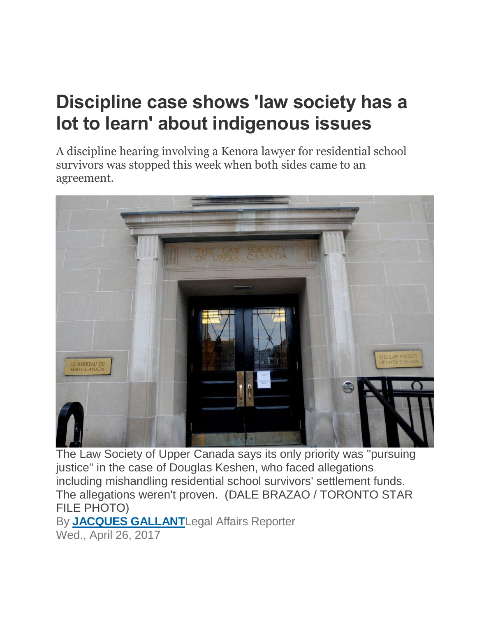## **Discipline case shows 'law society has a lot to learn' about indigenous issues**

A discipline hearing involving a Kenora lawyer for residential school survivors was stopped this week when both sides came to an agreement.



The Law Society of Upper Canada says its only priority was "pursuing justice" in the case of Douglas Keshen, who faced allegations including mishandling residential school survivors' settlement funds. The allegations weren't proven. (DALE BRAZAO / TORONTO STAR FILE PHOTO) By **[JACQUES GALLANT](https://www.thestar.com/authors.gallant_jacques.html)**Legal Affairs Reporter

Wed., April 26, 2017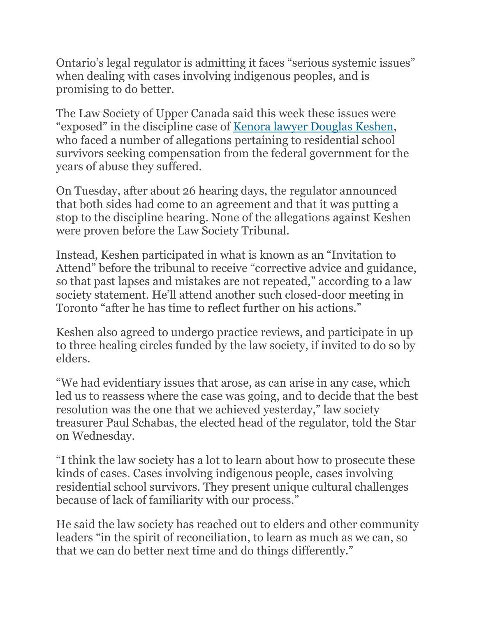Ontario's legal regulator is admitting it faces "serious systemic issues" when dealing with cases involving indigenous peoples, and is promising to do better.

The Law Society of Upper Canada said this week these issues were "exposed" in the discipline case of [Kenora lawyer Douglas Keshen,](https://www.thestar.com/news/gta/2015/06/30/lawyer-accused-of-mishandling-settlement-funds-of-residential-school-survivors.html) who faced a number of allegations pertaining to residential school survivors seeking compensation from the federal government for the years of abuse they suffered.

On Tuesday, after about 26 hearing days, the regulator announced that both sides had come to an agreement and that it was putting a stop to the discipline hearing. None of the allegations against Keshen were proven before the Law Society Tribunal.

Instead, Keshen participated in what is known as an "Invitation to Attend" before the tribunal to receive "corrective advice and guidance, so that past lapses and mistakes are not repeated," according to a law society statement. He'll attend another such closed-door meeting in Toronto "after he has time to reflect further on his actions."

Keshen also agreed to undergo practice reviews, and participate in up to three healing circles funded by the law society, if invited to do so by elders.

"We had evidentiary issues that arose, as can arise in any case, which led us to reassess where the case was going, and to decide that the best resolution was the one that we achieved yesterday," law society treasurer Paul Schabas, the elected head of the regulator, told the Star on Wednesday.

"I think the law society has a lot to learn about how to prosecute these kinds of cases. Cases involving indigenous people, cases involving residential school survivors. They present unique cultural challenges because of lack of familiarity with our process."

He said the law society has reached out to elders and other community leaders "in the spirit of reconciliation, to learn as much as we can, so that we can do better next time and do things differently."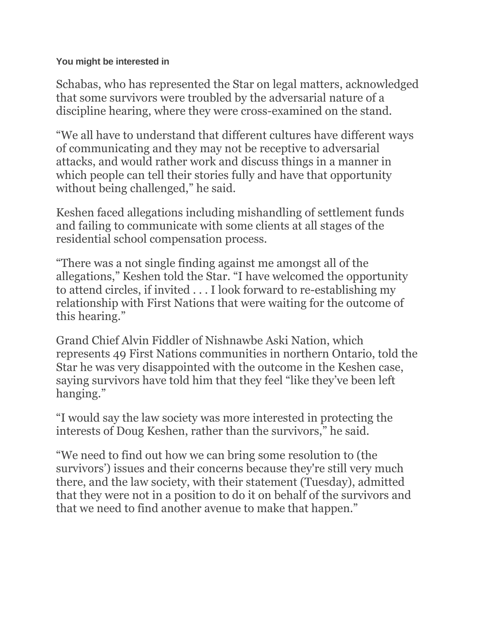**You might be interested in**

Schabas, who has represented the Star on legal matters, acknowledged that some survivors were troubled by the adversarial nature of a discipline hearing, where they were cross-examined on the stand.

"We all have to understand that different cultures have different ways of communicating and they may not be receptive to adversarial attacks, and would rather work and discuss things in a manner in which people can tell their stories fully and have that opportunity without being challenged," he said.

Keshen faced allegations including mishandling of settlement funds and failing to communicate with some clients at all stages of the residential school compensation process.

"There was a not single finding against me amongst all of the allegations," Keshen told the Star. "I have welcomed the opportunity to attend circles, if invited . . . I look forward to re-establishing my relationship with First Nations that were waiting for the outcome of this hearing."

Grand Chief Alvin Fiddler of Nishnawbe Aski Nation, which represents 49 First Nations communities in northern Ontario, told the Star he was very disappointed with the outcome in the Keshen case, saying survivors have told him that they feel "like they've been left hanging."

"I would say the law society was more interested in protecting the interests of Doug Keshen, rather than the survivors," he said.

"We need to find out how we can bring some resolution to (the survivors') issues and their concerns because they're still very much there, and the law society, with their statement (Tuesday), admitted that they were not in a position to do it on behalf of the survivors and that we need to find another avenue to make that happen."